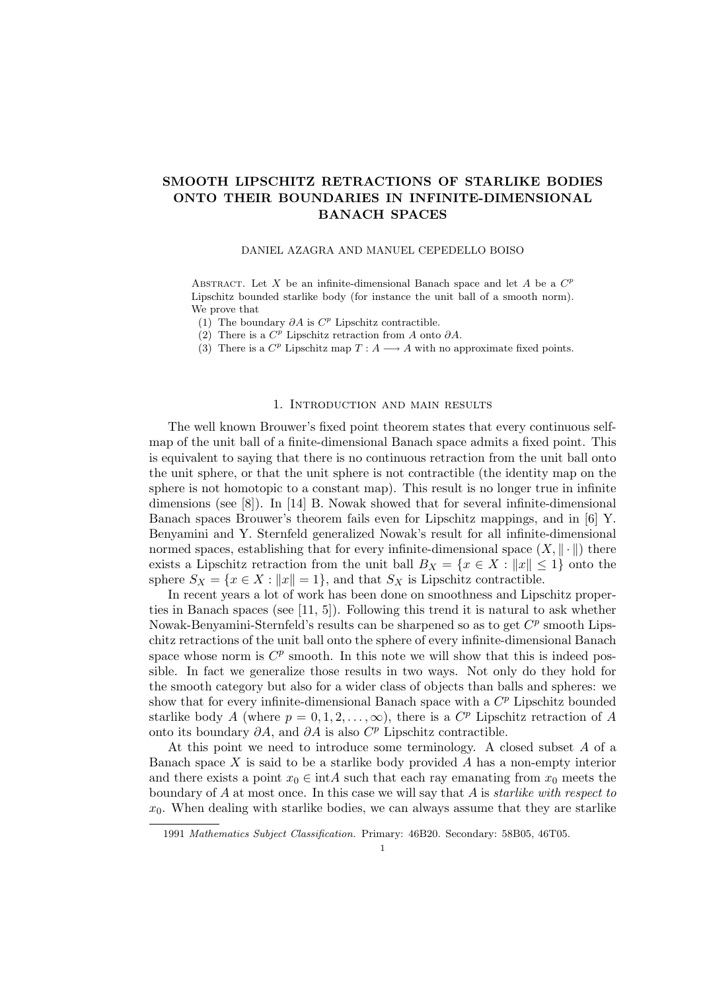# SMOOTH LIPSCHITZ RETRACTIONS OF STARLIKE BODIES ONTO THEIR BOUNDARIES IN INFINITE-DIMENSIONAL BANACH SPACES

#### DANIEL AZAGRA AND MANUEL CEPEDELLO BOISO

ABSTRACT. Let X be an infinite-dimensional Banach space and let A be a  $C<sup>p</sup>$ Lipschitz bounded starlike body (for instance the unit ball of a smooth norm). We prove that

- (1) The boundary  $\partial A$  is  $C^p$  Lipschitz contractible.
- (2) There is a  $C^p$  Lipschitz retraction from A onto  $\partial A$ .
- (3) There is a  $C^p$  Lipschitz map  $T: A \longrightarrow A$  with no approximate fixed points.

#### 1. Introduction and main results

The well known Brouwer's fixed point theorem states that every continuous selfmap of the unit ball of a finite-dimensional Banach space admits a fixed point. This is equivalent to saying that there is no continuous retraction from the unit ball onto the unit sphere, or that the unit sphere is not contractible (the identity map on the sphere is not homotopic to a constant map). This result is no longer true in infinite dimensions (see [8]). In [14] B. Nowak showed that for several infinite-dimensional Banach spaces Brouwer's theorem fails even for Lipschitz mappings, and in [6] Y. Benyamini and Y. Sternfeld generalized Nowak's result for all infinite-dimensional normed spaces, establishing that for every infinite-dimensional space  $(X, \|\cdot\|)$  there exists a Lipschitz retraction from the unit ball  $B_X = \{x \in X : ||x|| \leq 1\}$  onto the sphere  $S_X = \{x \in X : ||x|| = 1\}$ , and that  $S_X$  is Lipschitz contractible.

In recent years a lot of work has been done on smoothness and Lipschitz properties in Banach spaces (see [11, 5]). Following this trend it is natural to ask whether Nowak-Benyamini-Sternfeld's results can be sharpened so as to get  $C^p$  smooth Lipschitz retractions of the unit ball onto the sphere of every infinite-dimensional Banach space whose norm is  $C^p$  smooth. In this note we will show that this is indeed possible. In fact we generalize those results in two ways. Not only do they hold for the smooth category but also for a wider class of objects than balls and spheres: we show that for every infinite-dimensional Banach space with a  $C<sup>p</sup>$  Lipschitz bounded starlike body A (where  $p = 0, 1, 2, \ldots, \infty$ ), there is a  $C^p$  Lipschitz retraction of A onto its boundary  $\partial A$ , and  $\partial A$  is also  $C^p$  Lipschitz contractible.

At this point we need to introduce some terminology. A closed subset A of a Banach space  $X$  is said to be a starlike body provided  $A$  has a non-empty interior and there exists a point  $x_0 \in \text{int } A$  such that each ray emanating from  $x_0$  meets the boundary of  $A$  at most once. In this case we will say that  $A$  is *starlike with respect to*  $x_0$ . When dealing with starlike bodies, we can always assume that they are starlike

<sup>1991</sup> Mathematics Subject Classification. Primary: 46B20. Secondary: 58B05, 46T05.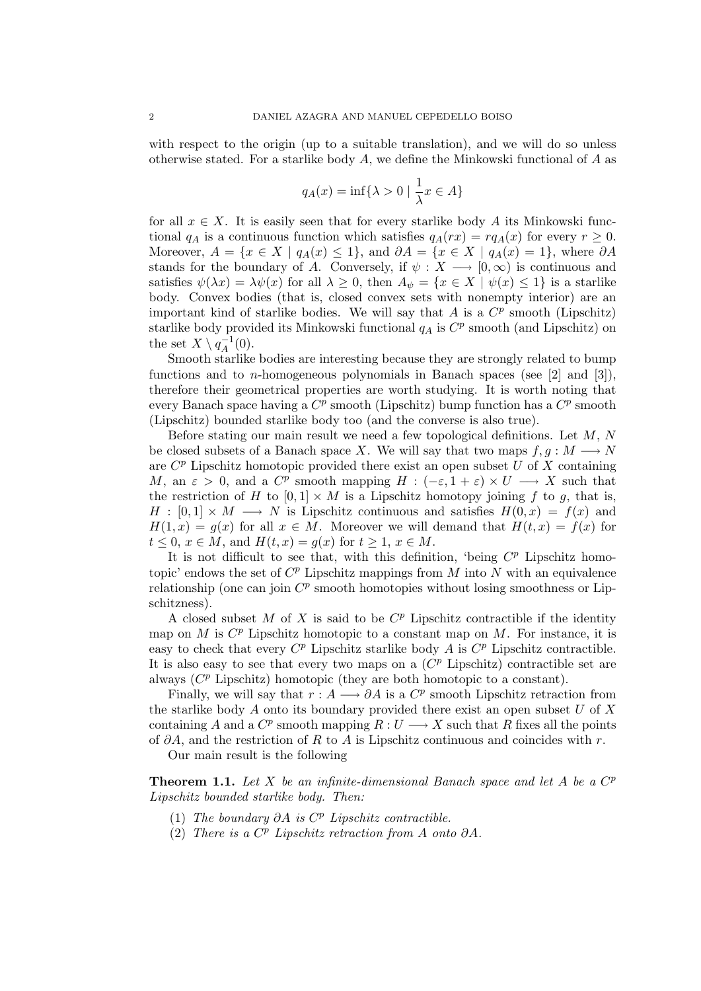with respect to the origin (up to a suitable translation), and we will do so unless otherwise stated. For a starlike body  $A$ , we define the Minkowski functional of  $A$  as

$$
q_A(x) = \inf\{\lambda > 0 \mid \frac{1}{\lambda}x \in A\}
$$

for all  $x \in X$ . It is easily seen that for every starlike body A its Minkowski functional  $q_A$  is a continuous function which satisfies  $q_A(rx) = r q_A(x)$  for every  $r \geq 0$ . Moreover,  $A = \{x \in X \mid q_A(x) \leq 1\}$ , and  $\partial A = \{x \in X \mid q_A(x) = 1\}$ , where  $\partial A$ stands for the boundary of A. Conversely, if  $\psi: X \longrightarrow [0,\infty)$  is continuous and satisfies  $\psi(\lambda x) = \lambda \psi(x)$  for all  $\lambda \geq 0$ , then  $A_{\psi} = \{x \in X \mid \psi(x) \leq 1\}$  is a starlike body. Convex bodies (that is, closed convex sets with nonempty interior) are an important kind of starlike bodies. We will say that  $A$  is a  $C^p$  smooth (Lipschitz) starlike body provided its Minkowski functional  $q_A$  is  $C^p$  smooth (and Lipschitz) on the set  $X \setminus q_A^{-1}$  $\bar{A}^{(1)}(0).$ 

Smooth starlike bodies are interesting because they are strongly related to bump functions and to *n*-homogeneous polynomials in Banach spaces (see [2] and [3]), therefore their geometrical properties are worth studying. It is worth noting that every Banach space having a  $C^p$  smooth (Lipschitz) bump function has a  $C^p$  smooth (Lipschitz) bounded starlike body too (and the converse is also true).

Before stating our main result we need a few topological definitions. Let  $M, N$ be closed subsets of a Banach space X. We will say that two maps  $f, g : M \longrightarrow N$ are  $C^p$  Lipschitz homotopic provided there exist an open subset U of X containing M, an  $\varepsilon > 0$ , and a  $C^p$  smooth mapping  $H : (-\varepsilon, 1 + \varepsilon) \times U \longrightarrow X$  such that the restriction of H to  $[0, 1] \times M$  is a Lipschitz homotopy joining f to g, that is,  $H : [0,1] \times M \longrightarrow N$  is Lipschitz continuous and satisfies  $H(0,x) = f(x)$  and  $H(1, x) = g(x)$  for all  $x \in M$ . Moreover we will demand that  $H(t, x) = f(x)$  for  $t \leq 0, x \in M$ , and  $H(t, x) = g(x)$  for  $t \geq 1, x \in M$ .

It is not difficult to see that, with this definition, 'being  $C^p$  Lipschitz homotopic' endows the set of  $C^p$  Lipschitz mappings from M into N with an equivalence relationship (one can join  $C^p$  smooth homotopies without losing smoothness or Lipschitzness).

A closed subset  $M$  of  $X$  is said to be  $C^p$  Lipschitz contractible if the identity map on  $M$  is  $C^p$  Lipschitz homotopic to a constant map on  $M$ . For instance, it is easy to check that every  $C^p$  Lipschitz starlike body A is  $C^p$  Lipschitz contractible. It is also easy to see that every two maps on a  $(C<sup>p</sup>$  Lipschitz) contractible set are always  $(C^p$  Lipschitz) homotopic (they are both homotopic to a constant).

Finally, we will say that  $r : A \longrightarrow \partial A$  is a  $C^p$  smooth Lipschitz retraction from the starlike body A onto its boundary provided there exist an open subset U of X containing A and a  $C^p$  smooth mapping  $R: U \longrightarrow X$  such that R fixes all the points of  $\partial A$ , and the restriction of R to A is Lipschitz continuous and coincides with r.

Our main result is the following

**Theorem 1.1.** Let  $X$  be an infinite-dimensional Banach space and let  $A$  be a  $C^p$ Lipschitz bounded starlike body. Then:

- (1) The boundary  $\partial A$  is  $C^p$  Lipschitz contractible.
- (2) There is a  $C^p$  Lipschitz retraction from A onto  $\partial A$ .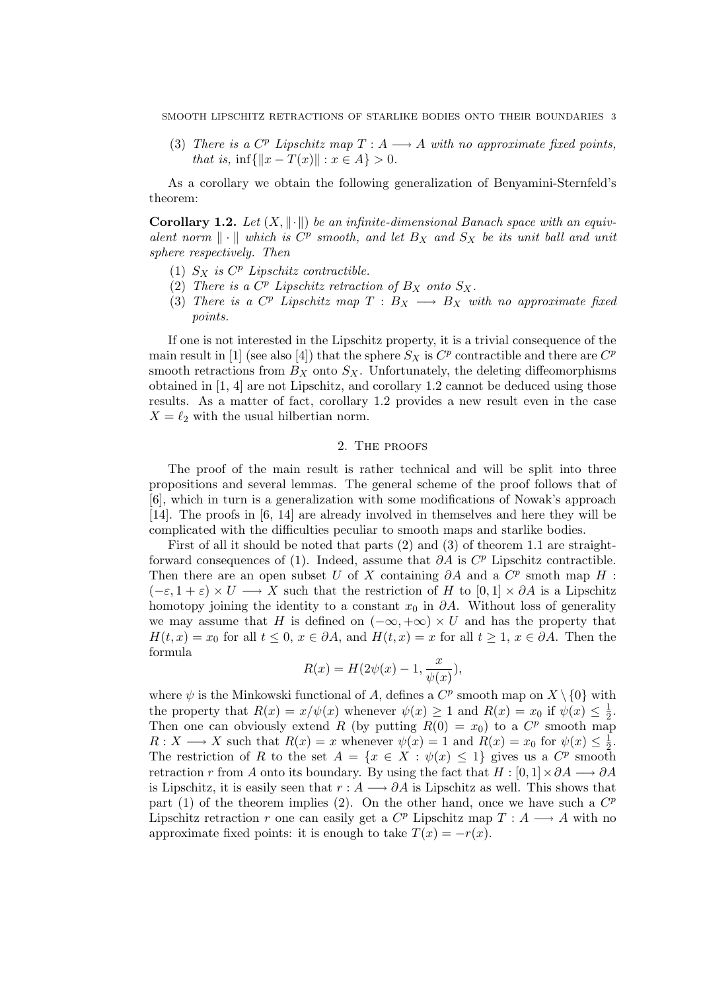(3) There is a  $C^p$  Lipschitz map  $T : A \longrightarrow A$  with no approximate fixed points, that is,  $\inf\{\|x - T(x)\| : x \in A\} > 0.$ 

As a corollary we obtain the following generalization of Benyamini-Sternfeld's theorem:

**Corollary 1.2.** Let  $(X, \|\cdot\|)$  be an infinite-dimensional Banach space with an equivalent norm  $\|\cdot\|$  which is  $C^p$  smooth, and let  $B_X$  and  $S_X$  be its unit ball and unit sphere respectively. Then

- (1)  $S_X$  is  $C^p$  Lipschitz contractible.
- (2) There is a  $C^p$  Lipschitz retraction of  $B_X$  onto  $S_X$ .
- (3) There is a  $C^p$  Lipschitz map  $T : B_X \longrightarrow B_X$  with no approximate fixed points.

If one is not interested in the Lipschitz property, it is a trivial consequence of the main result in [1] (see also [4]) that the sphere  $S_X$  is  $C^p$  contractible and there are  $C^p$ smooth retractions from  $B_X$  onto  $S_X$ . Unfortunately, the deleting diffeomorphisms obtained in [1, 4] are not Lipschitz, and corollary 1.2 cannot be deduced using those results. As a matter of fact, corollary 1.2 provides a new result even in the case  $X = \ell_2$  with the usual hilbertian norm.

## 2. The proofs

The proof of the main result is rather technical and will be split into three propositions and several lemmas. The general scheme of the proof follows that of [6], which in turn is a generalization with some modifications of Nowak's approach [14]. The proofs in [6, 14] are already involved in themselves and here they will be complicated with the difficulties peculiar to smooth maps and starlike bodies.

First of all it should be noted that parts (2) and (3) of theorem 1.1 are straightforward consequences of (1). Indeed, assume that  $\partial A$  is  $C^p$  Lipschitz contractible. Then there are an open subset U of X containing  $\partial A$  and a  $C^p$  smoth map H :  $(-\varepsilon, 1 + \varepsilon) \times U \longrightarrow X$  such that the restriction of H to  $[0, 1] \times \partial A$  is a Lipschitz homotopy joining the identity to a constant  $x_0$  in  $\partial A$ . Without loss of generality we may assume that H is defined on  $(-\infty, +\infty) \times U$  and has the property that  $H(t, x) = x_0$  for all  $t \leq 0$ ,  $x \in \partial A$ , and  $H(t, x) = x$  for all  $t \geq 1$ ,  $x \in \partial A$ . Then the formula

$$
R(x) = H(2\psi(x) - 1, \frac{x}{\psi(x)}),
$$

where  $\psi$  is the Minkowski functional of A, defines a  $C^p$  smooth map on  $X \setminus \{0\}$  with the property that  $R(x) = x/\psi(x)$  whenever  $\psi(x) \geq 1$  and  $R(x) = x_0$  if  $\psi(x) \leq \frac{1}{2}$  $rac{1}{2}$ . Then one can obviously extend R (by putting  $R(0) = x_0$ ) to a  $C^p$  smooth map  $R: X \longrightarrow X$  such that  $R(x) = x$  whenever  $\psi(x) = 1$  and  $R(x) = x_0$  for  $\psi(x) \leq \frac{1}{2}$  $rac{1}{2}$ . The restriction of R to the set  $A = \{x \in X : \psi(x) \leq 1\}$  gives us a  $C^p$  smooth retraction r from A onto its boundary. By using the fact that  $H : [0,1] \times \partial A \longrightarrow \partial A$ is Lipschitz, it is easily seen that  $r : A \longrightarrow \partial A$  is Lipschitz as well. This shows that part (1) of the theorem implies (2). On the other hand, once we have such a  $C^p$ Lipschitz retraction r one can easily get a  $C^p$  Lipschitz map  $T : A \longrightarrow A$  with no approximate fixed points: it is enough to take  $T(x) = -r(x)$ .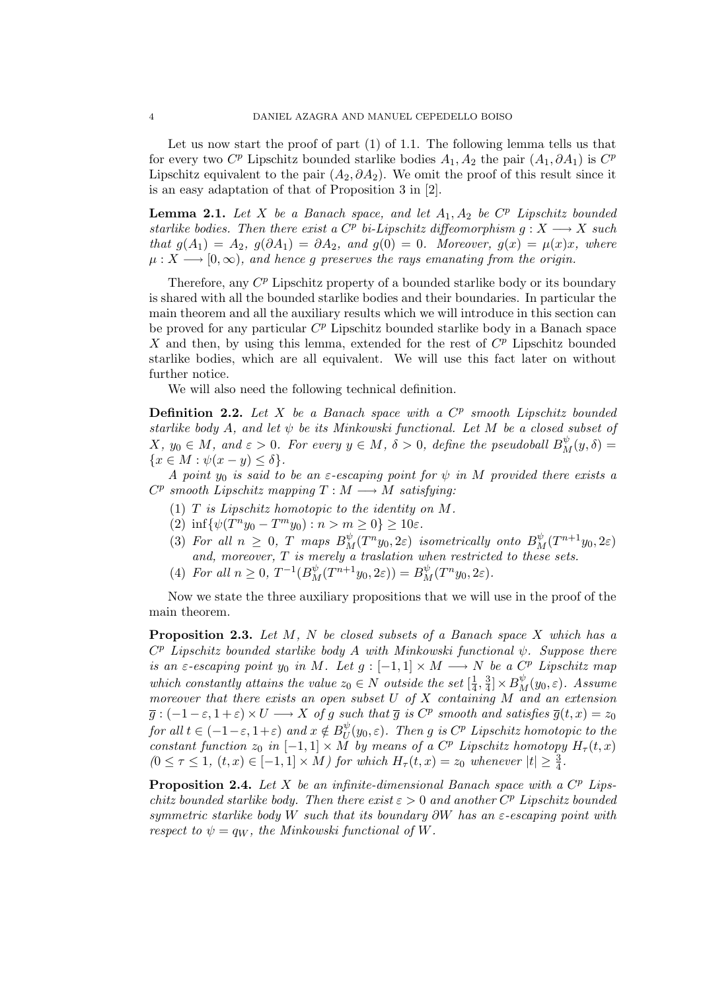Let us now start the proof of part (1) of 1.1. The following lemma tells us that for every two  $C^p$  Lipschitz bounded starlike bodies  $A_1, A_2$  the pair  $(A_1, \partial A_1)$  is  $C^p$ Lipschitz equivalent to the pair  $(A_2, \partial A_2)$ . We omit the proof of this result since it is an easy adaptation of that of Proposition 3 in [2].

**Lemma 2.1.** Let X be a Banach space, and let  $A_1, A_2$  be  $C^p$  Lipschitz bounded starlike bodies. Then there exist a  $C^p$  bi-Lipschitz diffeomorphism  $g: X \longrightarrow X$  such that  $g(A_1) = A_2$ ,  $g(\partial A_1) = \partial A_2$ , and  $g(0) = 0$ . Moreover,  $g(x) = \mu(x)x$ , where  $\mu: X \longrightarrow [0, \infty)$ , and hence g preserves the rays emanating from the origin.

Therefore, any  $C^p$  Lipschitz property of a bounded starlike body or its boundary is shared with all the bounded starlike bodies and their boundaries. In particular the main theorem and all the auxiliary results which we will introduce in this section can be proved for any particular  $C^p$  Lipschitz bounded starlike body in a Banach space  $X$  and then, by using this lemma, extended for the rest of  $C^p$  Lipschitz bounded starlike bodies, which are all equivalent. We will use this fact later on without further notice.

We will also need the following technical definition.

**Definition 2.2.** Let  $X$  be a Banach space with a  $C^p$  smooth Lipschitz bounded starlike body A, and let  $\psi$  be its Minkowski functional. Let M be a closed subset of  $X, y_0 \in M$ , and  $\varepsilon > 0$ . For every  $y \in M$ ,  $\delta > 0$ , define the pseudoball  $B_M^{\psi}(y, \delta) =$  $\{x \in M : \psi(x - y) \leq \delta\}.$ 

A point  $y_0$  is said to be an  $\varepsilon$ -escaping point for  $\psi$  in M provided there exists a  $C^p$  smooth Lipschitz mapping  $T : M \longrightarrow M$  satisfying:

- (1)  $T$  is Lipschitz homotopic to the identity on  $M$ .
- (2)  $\inf \{ \psi(T^n y_0 T^m y_0) : n > m \ge 0 \} \ge 10 \varepsilon.$
- (3) For all  $n \geq 0$ , T maps  $B_M^{\psi}(T^n y_0, 2\varepsilon)$  isometrically onto  $B_M^{\psi}(T^{n+1} y_0, 2\varepsilon)$ and, moreover,  $T$  is merely a traslation when restricted to these sets.
- (4) For all  $n \ge 0$ ,  $T^{-1}(B_M^{\psi}(T^{n+1}y_0, 2\varepsilon)) = B_M^{\psi}(T^n y_0, 2\varepsilon)$ .

Now we state the three auxiliary propositions that we will use in the proof of the main theorem.

**Proposition 2.3.** Let  $M$ ,  $N$  be closed subsets of a Banach space  $X$  which has a  $C^{p}$  Lipschitz bounded starlike body A with Minkowski functional  $\psi$ . Suppose there is an  $\varepsilon$ -escaping point y<sub>0</sub> in M. Let  $g: [-1,1] \times M \longrightarrow N$  be a  $C^p$  Lipschitz map which constantly attains the value  $z_0 \in N$  outside the set  $\left[\frac{1}{4}\right]$  $\frac{1}{4}, \frac{3}{4}$  $\frac{3}{4}]\times B^{\psi}_M(y_0,\varepsilon)$ . Assume moreover that there exists an open subset  $U$  of  $X$  containing  $M$  and an extension  $\overline{g}:(-1-\varepsilon,1+\varepsilon)\times U\longrightarrow X$  of g such that  $\overline{g}$  is  $C^p$  smooth and satisfies  $\overline{g}(t,x)=z_0$ for all  $t \in (-1-\varepsilon, 1+\varepsilon)$  and  $x \notin B_U^{\psi}$  $_U^{\psi}(y_0,\varepsilon)$ . Then  $g$  is  $C^p$  Lipschitz homotopic to the constant function  $z_0$  in  $[-1,1] \times \tilde{M}$  by means of a  $C^p$  Lipschitz homotopy  $H_{\tau}(t,x)$  $(0 \leq \tau \leq 1, (t, x) \in [-1, 1] \times M)$  for which  $H_{\tau}(t, x) = z_0$  whenever  $|t| \geq \frac{3}{4}$ .

**Proposition 2.4.** Let X be an infinite-dimensional Banach space with a  $C^p$  Lipschitz bounded starlike body. Then there exist  $\varepsilon > 0$  and another  $C<sup>p</sup>$  Lipschitz bounded symmetric starlike body W such that its boundary  $\partial W$  has an  $\varepsilon$ -escaping point with respect to  $\psi = q_W$ , the Minkowski functional of W.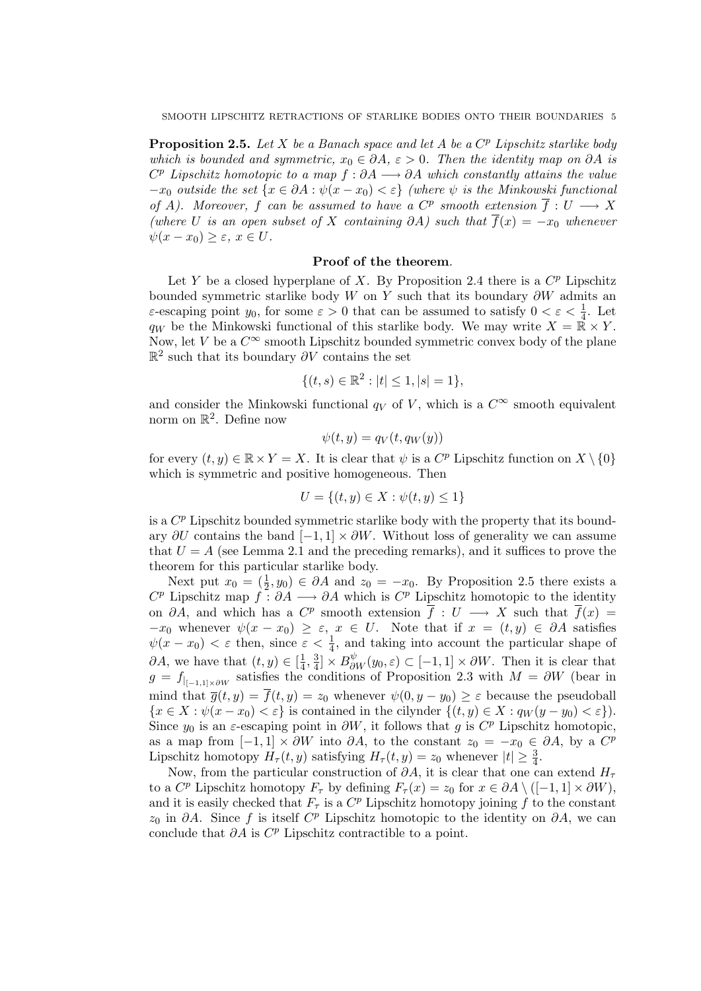**Proposition 2.5.** Let X be a Banach space and let A be a  $C^p$  Lipschitz starlike body which is bounded and symmetric,  $x_0 \in \partial A$ ,  $\varepsilon > 0$ . Then the identity map on  $\partial A$  is  $C^p$  Lipschitz homotopic to a map  $f : \partial A \longrightarrow \partial A$  which constantly attains the value  $-x_0$  outside the set  $\{x \in \partial A : \psi(x - x_0) < \varepsilon\}$  (where  $\psi$  is the Minkowski functional of A). Moreover, f can be assumed to have a  $C^p$  smooth extension  $\overline{f}: U \longrightarrow X$ (where U is an open subset of X containing  $\partial A$ ) such that  $\overline{f}(x) = -x_0$  whenever  $\psi(x-x_0)\geq \varepsilon, x\in U.$ 

## Proof of the theorem.

Let Y be a closed hyperplane of X. By Proposition 2.4 there is a  $C^p$  Lipschitz bounded symmetric starlike body W on Y such that its boundary  $\partial W$  admits an ε-escaping point  $y_0$ , for some  $\varepsilon > 0$  that can be assumed to satisfy  $0 < \varepsilon < \frac{1}{4}$ . Let  $q_W$  be the Minkowski functional of this starlike body. We may write  $X = \mathbb{R} \times Y$ . Now, let V be a  $C^{\infty}$  smooth Lipschitz bounded symmetric convex body of the plane  $\mathbb{R}^2$  such that its boundary  $\partial V$  contains the set

$$
\{(t,s)\in\mathbb{R}^2:|t|\leq 1,|s|=1\},\
$$

and consider the Minkowski functional  $q_V$  of V, which is a  $C^{\infty}$  smooth equivalent norm on  $\mathbb{R}^2$ . Define now

$$
\psi(t,y) = q_V(t,q_W(y))
$$

for every  $(t, y) \in \mathbb{R} \times Y = X$ . It is clear that  $\psi$  is a  $C^p$  Lipschitz function on  $X \setminus \{0\}$ which is symmetric and positive homogeneous. Then

$$
U = \{(t, y) \in X : \psi(t, y) \le 1\}
$$

is a  $C^p$  Lipschitz bounded symmetric starlike body with the property that its boundary  $\partial U$  contains the band  $[-1, 1] \times \partial W$ . Without loss of generality we can assume that  $U = A$  (see Lemma 2.1 and the preceding remarks), and it suffices to prove the theorem for this particular starlike body.

Next put  $x_0 = (\frac{1}{2}, y_0) \in \partial A$  and  $z_0 = -x_0$ . By Proposition 2.5 there exists a  $C^p$  Lipschitz map  $\tilde{f}: \partial A \longrightarrow \partial A$  which is  $C^p$  Lipschitz homotopic to the identity on  $\partial A$ , and which has a  $C^p$  smooth extension  $\overline{f}: U \longrightarrow X$  such that  $\overline{f}(x) =$  $-x_0$  whenever  $\psi(x-x_0) \geq \varepsilon$ ,  $x \in U$ . Note that if  $x = (t, y) \in \partial A$  satisfies  $\psi(x-x_0) < \varepsilon$  then, since  $\varepsilon < \frac{1}{4}$ , and taking into account the particular shape of  $\partial A$ , we have that  $(t, y) \in \left[\frac{1}{4}\right]$  $\frac{1}{4}, \frac{3}{4}$  $\frac{3}{4}$  ×  $B_{\partial W}^{\psi}(y_0, \varepsilon) \subset [-1, 1] \times \partial W$ . Then it is clear that  $g = f_{|_{[-1,1]\times\partial W}}$  satisfies the conditions of Proposition 2.3 with  $M = \partial W$  (bear in mind that  $\overline{g}(t, y) = \overline{f}(t, y) = z_0$  whenever  $\psi(0, y - y_0) \geq \varepsilon$  because the pseudoball  ${x \in X : \psi(x - x_0) < \varepsilon}$  is contained in the cilynder  ${(t, y) \in X : q_W(y - y_0) < \varepsilon}$ . Since  $y_0$  is an  $\varepsilon$ -escaping point in  $\partial W$ , it follows that g is  $C^p$  Lipschitz homotopic, as a map from  $[-1,1] \times \partial W$  into  $\partial A$ , to the constant  $z_0 = -x_0 \in \partial A$ , by a  $C^p$ Lipschitz homotopy  $H_{\tau}(t, y)$  satisfying  $H_{\tau}(t, y) = z_0$  whenever  $|t| \geq \frac{3}{4}$ .

Now, from the particular construction of  $\partial A$ , it is clear that one can extend  $H_{\tau}$ to a  $C^p$  Lipschitz homotopy  $F_\tau$  by defining  $F_\tau(x) = z_0$  for  $x \in \partial A \setminus ([-1,1] \times \partial W)$ , and it is easily checked that  $F_{\tau}$  is a  $C^p$  Lipschitz homotopy joining f to the constant  $z_0$  in ∂A. Since f is itself  $C^p$  Lipschitz homotopic to the identity on ∂A, we can conclude that  $\partial A$  is  $C^p$  Lipschitz contractible to a point.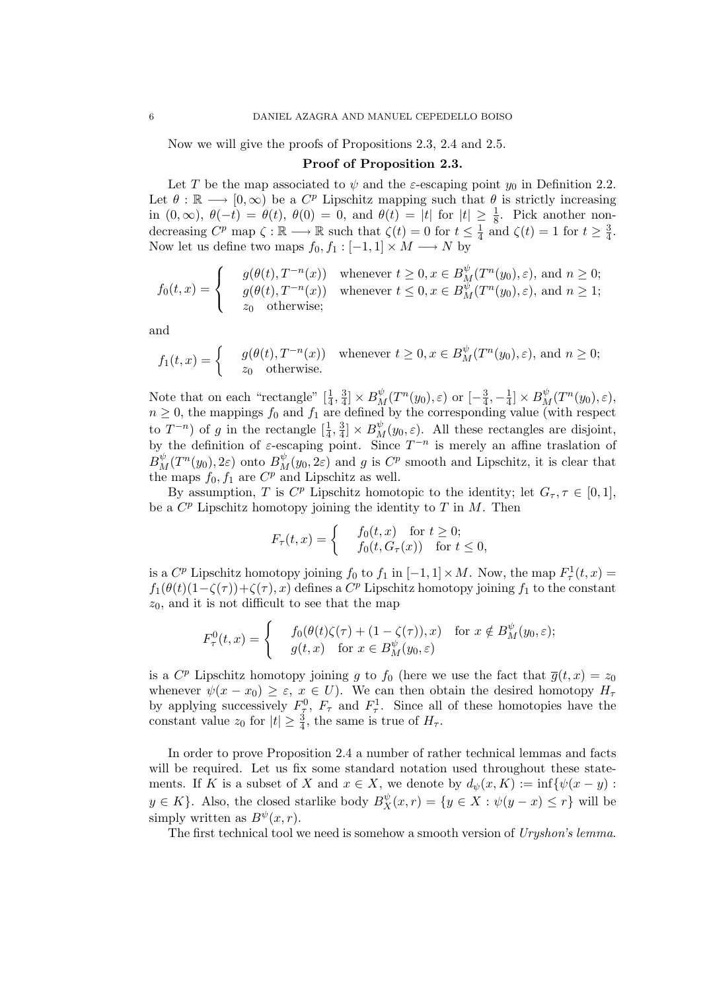Now we will give the proofs of Propositions 2.3, 2.4 and 2.5.

#### Proof of Proposition 2.3.

Let T be the map associated to  $\psi$  and the *ε*-escaping point  $y_0$  in Definition 2.2. Let  $\theta : \mathbb{R} \longrightarrow [0, \infty)$  be a  $C^p$  Lipschitz mapping such that  $\theta$  is strictly increasing in  $(0, \infty)$ ,  $\theta(-t) = \theta(t)$ ,  $\theta(0) = 0$ , and  $\theta(t) = |t|$  for  $|t| \geq \frac{1}{8}$ . Pick another nondecreasing  $C^p$  map  $\zeta : \mathbb{R} \longrightarrow \mathbb{R}$  such that  $\zeta(t) = 0$  for  $t \leq \frac{1}{4}$  $\frac{1}{4}$  and  $\zeta(t) = 1$  for  $t \geq \frac{3}{4}$  $\frac{3}{4}$ . Now let us define two maps  $f_0, f_1 : [-1, 1] \times M \longrightarrow N$  by

$$
f_0(t,x) = \begin{cases} \n\quad g(\theta(t), T^{-n}(x)) & \text{whenever } t \ge 0, x \in B_M^{\psi}(T^n(y_0), \varepsilon), \text{ and } n \ge 0; \\ \ng(\theta(t), T^{-n}(x)) & \text{whenever } t \le 0, x \in B_M^{\psi}(T^n(y_0), \varepsilon), \text{ and } n \ge 1; \\ \nz_0 & \text{otherwise}; \n\end{cases}
$$

and

$$
f_1(t,x) = \begin{cases} & g(\theta(t), T^{-n}(x)) \text{ whenever } t \ge 0, x \in B_M^{\psi}(T^n(y_0), \varepsilon), \text{ and } n \ge 0; \\ & z_0 \text{ otherwise.} \end{cases}
$$

Note that on each "rectangle"  $[\frac{1}{4}, \frac{3}{4}]$  $\frac{3}{4}$ ] ×  $B_M^{\psi}(T^n(y_0), \varepsilon)$  or  $\left[-\frac{3}{4}\right]$  $\frac{3}{4}, -\frac{1}{4}$  $\frac{1}{4}]\times B^{\psi}_M(T^n(y_0),\varepsilon),$  $n \geq 0$ , the mappings  $f_0$  and  $f_1$  are defined by the corresponding value (with respect to  $T^{-n}$ ) of g in the rectangle  $[\frac{1}{4}, \frac{3}{4}]$  $\frac{3}{4}$  ×  $B_M^{\psi}(y_0, \varepsilon)$ . All these rectangles are disjoint, by the definition of  $\varepsilon$ -escaping point. Since  $T^{-n}$  is merely an affine traslation of  $B_M^{\psi}(T^n(y_0), 2\varepsilon)$  onto  $B_M^{\psi}(y_0, 2\varepsilon)$  and g is  $C^p$  smooth and Lipschitz, it is clear that the maps  $f_0, f_1$  are  $C^p$  and Lipschitz as well.

By assumption, T is  $C^p$  Lipschitz homotopic to the identity; let  $G_{\tau}$ ,  $\tau \in [0,1]$ , be a  $C^p$  Lipschitz homotopy joining the identity to T in M. Then

$$
F_{\tau}(t,x) = \begin{cases} f_0(t,x) & \text{for } t \ge 0; \\ f_0(t, G_{\tau}(x)) & \text{for } t \le 0, \end{cases}
$$

is a  $C^p$  Lipschitz homotopy joining  $f_0$  to  $f_1$  in  $[-1,1] \times M$ . Now, the map  $F^1_\tau(t,x) =$  $f_1(\theta(t)(1-\zeta(\tau)) + \zeta(\tau), x)$  defines a  $C^p$  Lipschitz homotopy joining  $f_1$  to the constant  $z_0$ , and it is not difficult to see that the map

$$
F_{\tau}^{0}(t,x) = \begin{cases} f_{0}(\theta(t)\zeta(\tau) + (1-\zeta(\tau)),x) & \text{for } x \notin B_{M}^{\psi}(y_{0},\varepsilon); \\ g(t,x) & \text{for } x \in B_{M}^{\psi}(y_{0},\varepsilon) \end{cases}
$$

is a  $C^p$  Lipschitz homotopy joining g to  $f_0$  (here we use the fact that  $\overline{g}(t,x) = z_0$ whenever  $\psi(x-x_0) \geq \varepsilon$ ,  $x \in U$ ). We can then obtain the desired homotopy  $H_\tau$ by applying successively  $F_{\tau}^0$ ,  $F_{\tau}$  and  $F_{\tau}^1$ . Since all of these homotopies have the constant value  $z_0$  for  $|t| \geq \frac{3}{4}$ , the same is true of  $H_{\tau}$ .

In order to prove Proposition 2.4 a number of rather technical lemmas and facts will be required. Let us fix some standard notation used throughout these statements. If K is a subset of X and  $x \in X$ , we denote by  $d_{\psi}(x, K) := \inf \{ \psi(x - y) :$  $y \in K$ . Also, the closed starlike body  $B_X^{\psi}(x,r) = \{y \in X : \psi(y-x) \leq r\}$  will be simply written as  $B^{\psi}(x, r)$ .

The first technical tool we need is somehow a smooth version of Uryshon's lemma.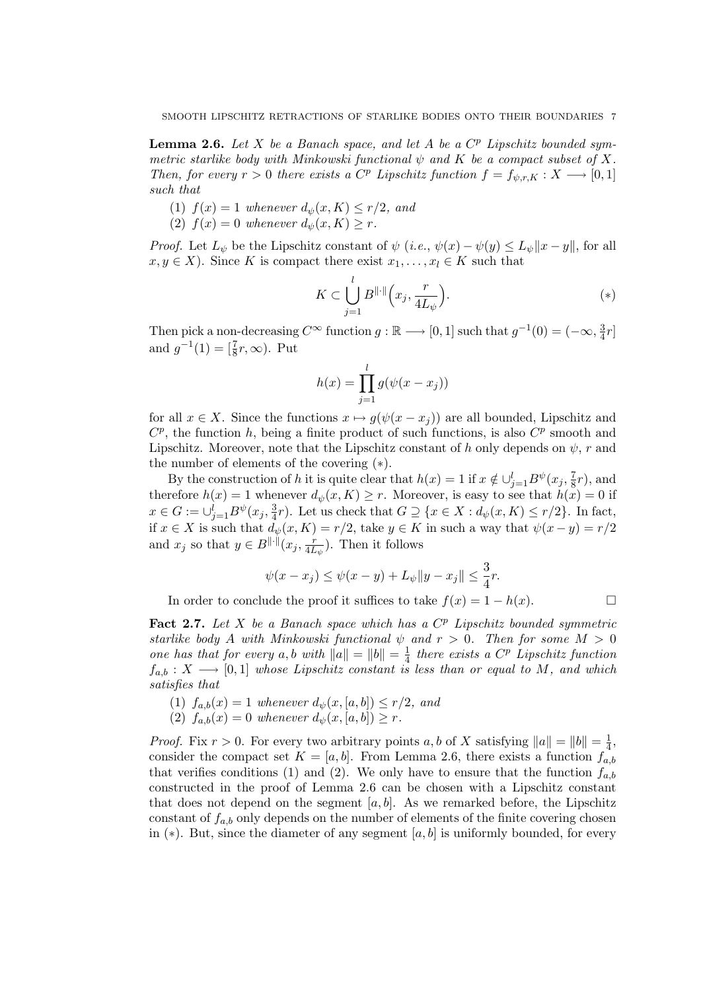**Lemma 2.6.** Let  $X$  be a Banach space, and let  $A$  be a  $C^p$  Lipschitz bounded symmetric starlike body with Minkowski functional  $\psi$  and K be a compact subset of X. Then, for every  $r > 0$  there exists a  $C^p$  Lipschitz function  $f = f_{\psi,r,K}: X \longrightarrow [0,1]$ such that

- (1)  $f(x) = 1$  whenever  $d_{\psi}(x, K) \leq r/2$ , and
- (2)  $f(x) = 0$  whenever  $d_{\psi}(x, K) \geq r$ .

*Proof.* Let  $L_{\psi}$  be the Lipschitz constant of  $\psi$  (*i.e.*,  $\psi(x) - \psi(y) \leq L_{\psi} ||x - y||$ , for all  $x, y \in X$ ). Since K is compact there exist  $x_1, \ldots, x_l \in K$  such that

$$
K \subset \bigcup_{j=1}^{l} B^{\|\cdot\|} \left( x_j, \frac{r}{4L_{\psi}} \right). \tag{*}
$$

Then pick a non-decreasing  $C^{\infty}$  function  $g : \mathbb{R} \longrightarrow [0,1]$  such that  $g^{-1}(0) = (-\infty, \frac{3}{4})$  $rac{3}{4}r$ and  $g^{-1}(1) = \left[\frac{7}{8}r, \infty\right)$ . Put

$$
h(x) = \prod_{j=1}^{l} g(\psi(x - x_j))
$$

for all  $x \in X$ . Since the functions  $x \mapsto g(\psi(x - x_i))$  are all bounded, Lipschitz and  $C^p$ , the function h, being a finite product of such functions, is also  $C^p$  smooth and Lipschitz. Moreover, note that the Lipschitz constant of h only depends on  $\psi$ , r and the number of elements of the covering (∗).

By the construction of h it is quite clear that  $h(x) = 1$  if  $x \notin \bigcup_{j=1}^{l} B^{\psi}(x_j, \frac{7}{8})$  $(\frac{7}{8}r)$ , and therefore  $h(x) = 1$  whenever  $d_{\psi}(x, K) \geq r$ . Moreover, is easy to see that  $h(x) = 0$  if  $x \in G := \cup_{j=1}^{l} B^{\psi}(x_j, \frac{3}{4})$  $\frac{3}{4}r$ ). Let us check that  $G \supseteq \{x \in X : d_{\psi}(x, K) \leq r/2\}$ . In fact, if  $x \in X$  is such that  $d_{\psi}(x, K) = r/2$ , take  $y \in K$  in such a way that  $\psi(x - y) = r/2$ and  $x_j$  so that  $y \in B^{\|\cdot\|}(x_j, \frac{r}{4L})$  $\frac{r}{4L_{\psi}}$ ). Then it follows

$$
\psi(x - x_j) \leq \psi(x - y) + L_{\psi} \|y - x_j\| \leq \frac{3}{4}r.
$$

In order to conclude the proof it suffices to take  $f(x) = 1 - h(x)$ .

Fact 2.7. Let X be a Banach space which has a  $C^p$  Lipschitz bounded symmetric starlike body A with Minkowski functional  $\psi$  and  $r > 0$ . Then for some  $M > 0$ one has that for every a, b with  $||a|| = ||b|| = \frac{1}{4}$  $\frac{1}{4}$  there exists a  $C^p$  Lipschitz function  $f_{a,b}: X \longrightarrow [0,1]$  whose Lipschitz constant is less than or equal to M, and which satisfies that

- (1)  $f_{a,b}(x) = 1$  whenever  $d_{\psi}(x, [a, b]) \leq r/2$ , and
- (2)  $f_{a,b}(x) = 0$  whenever  $d_{\psi}(x, [a, b]) \geq r$ .

*Proof.* Fix  $r > 0$ . For every two arbitrary points a, b of X satisfying  $||a|| = ||b|| = \frac{1}{4}$  $\frac{1}{4}$ , consider the compact set  $K = [a, b]$ . From Lemma 2.6, there exists a function  $f_{a,b}$ that verifies conditions (1) and (2). We only have to ensure that the function  $f_{a,b}$ constructed in the proof of Lemma 2.6 can be chosen with a Lipschitz constant that does not depend on the segment  $[a, b]$ . As we remarked before, the Lipschitz constant of  $f_{a,b}$  only depends on the number of elements of the finite covering chosen in  $(*)$ . But, since the diameter of any segment  $[a, b]$  is uniformly bounded, for every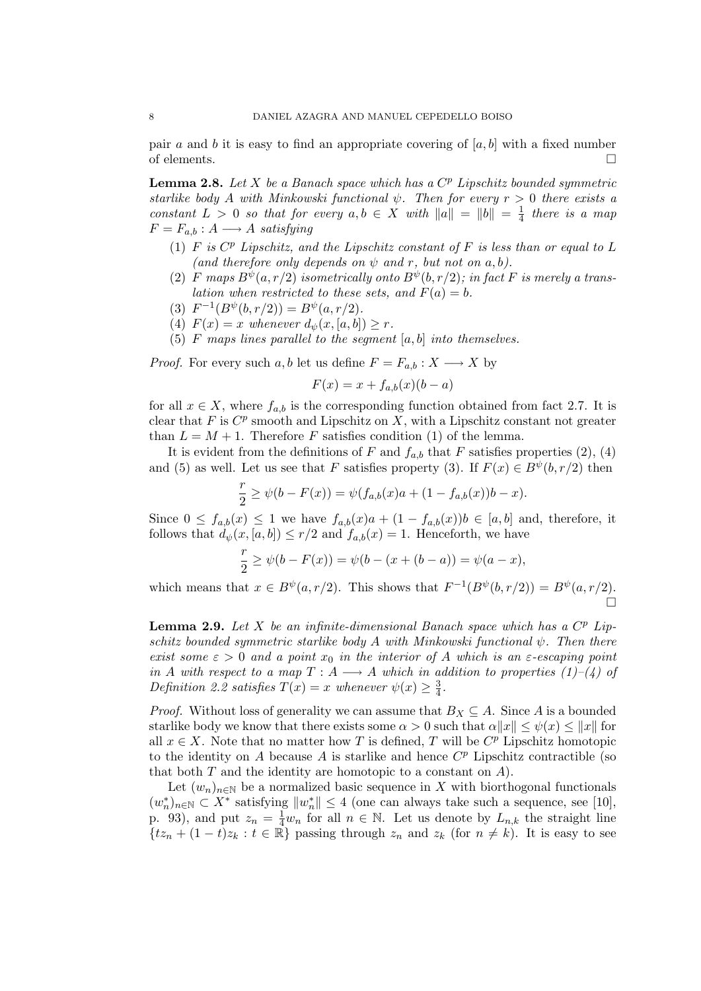pair a and b it is easy to find an appropriate covering of  $[a, b]$  with a fixed number of elements.  $\Box$ 

**Lemma 2.8.** Let  $X$  be a Banach space which has a  $C^p$  Lipschitz bounded symmetric starlike body A with Minkowski functional  $\psi$ . Then for every  $r > 0$  there exists a constant  $L > 0$  so that for every  $a, b \in X$  with  $||a|| = ||b|| = \frac{1}{4}$  $rac{1}{4}$  there is a map  $F = F_{a,b} : A \longrightarrow A$  satisfying

- (1)  $F$  is  $C^p$  Lipschitz, and the Lipschitz constant of  $F$  is less than or equal to  $L$ (and therefore only depends on  $\psi$  and r, but not on a, b).
- (2) F maps  $B^{\psi}(a, r/2)$  isometrically onto  $B^{\psi}(b, r/2)$ ; in fact F is merely a translation when restricted to these sets, and  $F(a) = b$ .
- (3)  $F^{-1}(B^{\psi}(b, r/2)) = B^{\psi}(a, r/2).$
- (4)  $F(x) = x$  whenever  $d_{\psi}(x, [a, b]) \geq r$ .
- (5) F maps lines parallel to the segment  $[a, b]$  into themselves.

*Proof.* For every such a, b let us define  $F = F_{a,b} : X \longrightarrow X$  by

$$
F(x) = x + f_{a,b}(x)(b-a)
$$

for all  $x \in X$ , where  $f_{a,b}$  is the corresponding function obtained from fact 2.7. It is clear that  $F$  is  $C^p$  smooth and Lipschitz on  $X$ , with a Lipschitz constant not greater than  $L = M + 1$ . Therefore F satisfies condition (1) of the lemma.

It is evident from the definitions of F and  $f_{a,b}$  that F satisfies properties (2), (4) and (5) as well. Let us see that F satisfies property (3). If  $F(x) \in B^{\psi}(b, r/2)$  then

$$
\frac{r}{2} \ge \psi(b - F(x)) = \psi(f_{a,b}(x)a + (1 - f_{a,b}(x))b - x).
$$

Since  $0 \le f_{a,b}(x) \le 1$  we have  $f_{a,b}(x)a + (1 - f_{a,b}(x))b \in [a,b]$  and, therefore, it follows that  $d_{\psi}(x,[a,b]) \leq r/2$  and  $f_{a,b}(x) = 1$ . Henceforth, we have

$$
\frac{r}{2} \ge \psi(b - F(x)) = \psi(b - (x + (b - a)) = \psi(a - x),
$$

which means that  $x \in B^{\psi}(a, r/2)$ . This shows that  $F^{-1}(B^{\psi}(b, r/2)) = B^{\psi}(a, r/2)$ . П

**Lemma 2.9.** Let X be an infinite-dimensional Banach space which has a  $C^p$  Lipschitz bounded symmetric starlike body A with Minkowski functional  $\psi$ . Then there exist some  $\varepsilon > 0$  and a point  $x_0$  in the interior of A which is an  $\varepsilon$ -escaping point in A with respect to a map  $T : A \longrightarrow A$  which in addition to properties (1)–(4) of Definition 2.2 satisfies  $T(x) = x$  whenever  $\psi(x) \geq \frac{3}{4}$  $\frac{3}{4}$ .

*Proof.* Without loss of generality we can assume that  $B_X \subseteq A$ . Since A is a bounded starlike body we know that there exists some  $\alpha > 0$  such that  $\alpha ||x|| \leq \psi(x) \leq ||x||$  for all  $x \in X$ . Note that no matter how T is defined, T will be  $C^p$  Lipschitz homotopic to the identity on  $A$  because  $A$  is starlike and hence  $C<sup>p</sup>$  Lipschitz contractible (so that both  $T$  and the identity are homotopic to a constant on  $A$ ).

Let  $(w_n)_{n\in\mathbb{N}}$  be a normalized basic sequence in X with biorthogonal functionals  $(w_n^*)_{n \in \mathbb{N}}$  ⊂  $X^*$  satisfying  $||w_n^*|| \leq 4$  (one can always take such a sequence, see [10], p. 93), and put  $z_n = \frac{1}{4}w_n$  for all  $n \in \mathbb{N}$ . Let us denote by  $L_{n,k}$  the straight line  $\{tx_n + (1-t)z_k : t \in \mathbb{R}\}$  passing through  $z_n$  and  $z_k$  (for  $n \neq k$ ). It is easy to see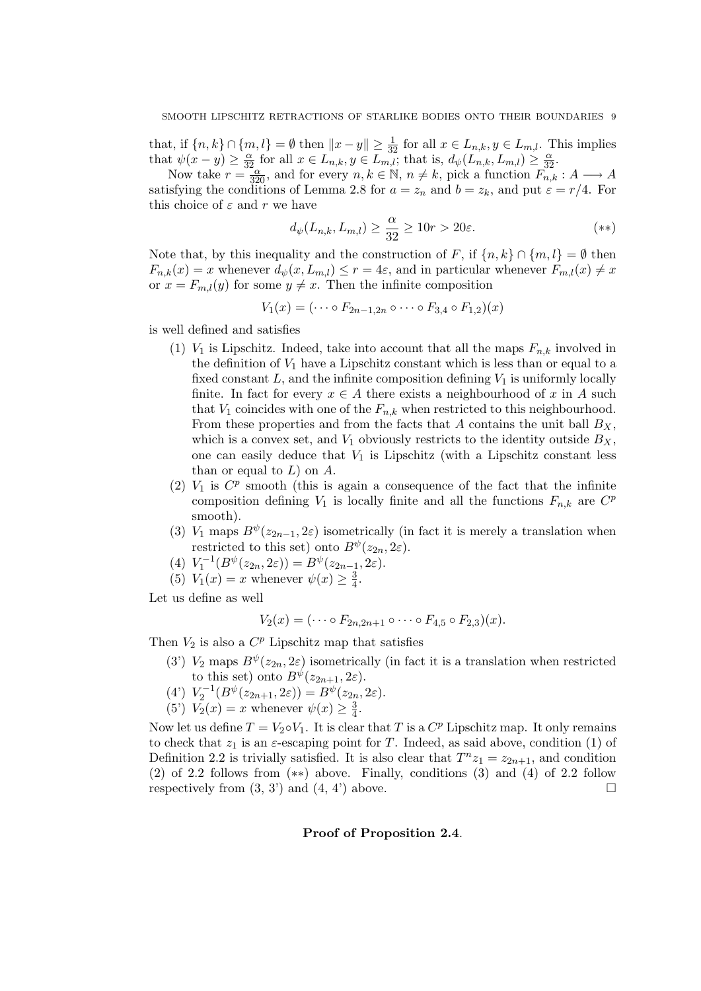that, if  $\{n, k\} \cap \{m, l\} = \emptyset$  then  $||x - y|| \ge \frac{1}{32}$  for all  $x \in L_{n,k}, y \in L_{m,l}$ . This implies that  $\psi(x-y) \geq \frac{\alpha}{32}$  for all  $x \in L_{n,k}$ ,  $y \in L_{m,l}$ ; that is,  $d_{\psi}(L_{n,k}, L_{m,l}) \geq \frac{\alpha}{32}$ .

Now take  $r = \frac{32}{320}$ , and for every  $n, k \in \mathbb{N}$ ,  $n \neq k$ , pick a function  $F_{n,k} : A \longrightarrow A$ satisfying the conditions of Lemma 2.8 for  $a = z_n$  and  $b = z_k$ , and put  $\varepsilon = r/4$ . For this choice of  $\varepsilon$  and r we have

$$
d_{\psi}(L_{n,k}, L_{m,l}) \ge \frac{\alpha}{32} \ge 10r > 20\varepsilon. \tag{**}
$$

Note that, by this inequality and the construction of F, if  $\{n, k\} \cap \{m, l\} = \emptyset$  then  $F_{n,k}(x) = x$  whenever  $d_{\psi}(x, L_{m,l}) \leq r = 4\varepsilon$ , and in particular whenever  $F_{m,l}(x) \neq x$ or  $x = F_{m,l}(y)$  for some  $y \neq x$ . Then the infinite composition

$$
V_1(x) = (\cdots \circ F_{2n-1,2n} \circ \cdots \circ F_{3,4} \circ F_{1,2})(x)
$$

is well defined and satisfies

- (1)  $V_1$  is Lipschitz. Indeed, take into account that all the maps  $F_{n,k}$  involved in the definition of  $V_1$  have a Lipschitz constant which is less than or equal to a fixed constant  $L$ , and the infinite composition defining  $V_1$  is uniformly locally finite. In fact for every  $x \in A$  there exists a neighbourhood of x in A such that  $V_1$  coincides with one of the  $F_{n,k}$  when restricted to this neighbourhood. From these properties and from the facts that A contains the unit ball  $B_X$ , which is a convex set, and  $V_1$  obviously restricts to the identity outside  $B_X$ , one can easily deduce that  $V_1$  is Lipschitz (with a Lipschitz constant less than or equal to  $L$ ) on  $A$ .
- (2)  $V_1$  is  $C^p$  smooth (this is again a consequence of the fact that the infinite composition defining  $V_1$  is locally finite and all the functions  $F_{n,k}$  are  $C^p$ smooth).
- (3)  $V_1$  maps  $B^{\psi}(z_{2n-1}, 2\varepsilon)$  isometrically (in fact it is merely a translation when restricted to this set) onto  $B^{\psi}(z_{2n}, 2\varepsilon)$ .
- (4)  $V_1^{-1}(B^{\psi}(z_{2n}, 2\varepsilon)) = B^{\psi}(z_{2n-1}, 2\varepsilon).$
- (5)  $\overline{V}_1(x) = x$  whenever  $\psi(x) \geq \frac{3}{4}$  $\frac{3}{4}$ .

Let us define as well

$$
V_2(x) = (\cdots \circ F_{2n,2n+1} \circ \cdots \circ F_{4,5} \circ F_{2,3})(x).
$$

Then  $V_2$  is also a  $C^p$  Lipschitz map that satisfies

- (3')  $V_2$  maps  $B^{\psi}(z_{2n}, 2\varepsilon)$  isometrically (in fact it is a translation when restricted to this set) onto  $B^{\psi}(z_{2n+1}, 2\varepsilon)$ .
- (4')  $V_2^{-1}(B^{\psi}(z_{2n+1}, 2\varepsilon)) = B^{\psi}(z_{2n}, 2\varepsilon).$
- (5')  $V_2(x) = x$  whenever  $\psi(x) \geq \frac{3}{4}$  $\frac{3}{4}$ .

Now let us define  $T = V_2 \circ V_1$ . It is clear that T is a  $C^p$  Lipschitz map. It only remains to check that  $z_1$  is an  $\varepsilon$ -escaping point for T. Indeed, as said above, condition (1) of Definition 2.2 is trivially satisfied. It is also clear that  $T^n z_1 = z_{2n+1}$ , and condition (2) of 2.2 follows from (∗∗) above. Finally, conditions (3) and (4) of 2.2 follow respectively from  $(3, 3')$  and  $(4, 4')$  above.

## Proof of Proposition 2.4.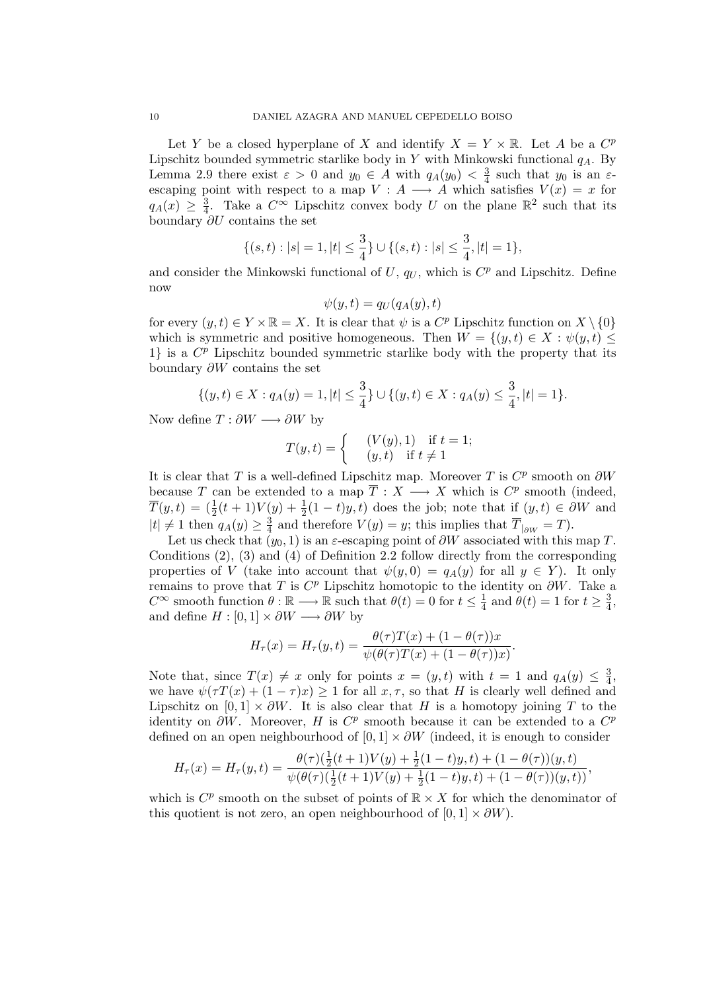Let Y be a closed hyperplane of X and identify  $X = Y \times \mathbb{R}$ . Let A be a  $C^p$ Lipschitz bounded symmetric starlike body in Y with Minkowski functional  $q_A$ . By Lemma 2.9 there exist  $\varepsilon > 0$  and  $y_0 \in A$  with  $q_A(y_0) < \frac{3}{4}$  $rac{3}{4}$  such that  $y_0$  is an  $\varepsilon$ escaping point with respect to a map  $V : A \longrightarrow A$  which satisfies  $V(x) = x$  for  $q_A(x) \geq \frac{3}{4}$  $\frac{3}{4}$ . Take a  $C^{\infty}$  Lipschitz convex body U on the plane  $\mathbb{R}^2$  such that its boundary ∂U contains the set

$$
\{(s,t): |s|=1, |t|\leq \frac{3}{4}\}\cup \{(s,t): |s|\leq \frac{3}{4}, |t|=1\},
$$

and consider the Minkowski functional of  $U, q_U$ , which is  $C^p$  and Lipschitz. Define now

$$
\psi(y,t) = q_U(q_A(y),t)
$$

for every  $(y, t) \in Y \times \mathbb{R} = X$ . It is clear that  $\psi$  is a  $C^p$  Lipschitz function on  $X \setminus \{0\}$ which is symmetric and positive homogeneous. Then  $W = \{(y, t) \in X : \psi(y, t) \leq \mathbb{R}\}$ 1} is a  $C^p$  Lipschitz bounded symmetric starlike body with the property that its boundary ∂W contains the set

$$
\{(y,t)\in X: q_A(y)=1, |t|\leq \frac{3}{4}\}\cup \{(y,t)\in X: q_A(y)\leq \frac{3}{4}, |t|=1\}.
$$

Now define  $T : \partial W \longrightarrow \partial W$  by

$$
T(y,t) = \begin{cases} & (V(y),1) \text{ if } t = 1; \\ & (y,t) \text{ if } t \neq 1 \end{cases}
$$

It is clear that T is a well-defined Lipschitz map. Moreover T is  $C^p$  smooth on  $\partial W$ because T can be extended to a map  $\overline{T}: X \longrightarrow X$  which is  $C^p$  smooth (indeed,  $\overline{T}(y,t) = (\frac{1}{2}(t+1)V(y) + \frac{1}{2}(1-t)y,t)$  does the job; note that if  $(y,t) \in \partial W$  and  $|t| \neq 1$  then  $q_A(y) \geq \frac{3}{4}$  $\frac{3}{4}$  and therefore  $V(y) = y$ ; this implies that  $T_{|_{\partial W}} = T$ ).

Let us check that  $(y_0, 1)$  is an  $\varepsilon$ -escaping point of  $\partial W$  associated with this map T. Conditions (2), (3) and (4) of Definition 2.2 follow directly from the corresponding properties of V (take into account that  $\psi(y, 0) = q_A(y)$  for all  $y \in Y$ ). It only remains to prove that T is  $C^p$  Lipschitz homotopic to the identity on  $\partial W$ . Take a  $C^{\infty}$  smooth function  $\theta : \mathbb{R} \longrightarrow \mathbb{R}$  such that  $\theta(t) = 0$  for  $t \leq \frac{1}{4}$  $\frac{1}{4}$  and  $\theta(t) = 1$  for  $t \geq \frac{3}{4}$  $\frac{3}{4}$ , and define  $H : [0,1] \times \partial W \longrightarrow \partial W$  by

$$
H_{\tau}(x) = H_{\tau}(y,t) = \frac{\theta(\tau)T(x) + (1 - \theta(\tau))x}{\psi(\theta(\tau)T(x) + (1 - \theta(\tau))x)}.
$$

Note that, since  $T(x) \neq x$  only for points  $x = (y, t)$  with  $t = 1$  and  $q_A(y) \leq \frac{3}{4}$  $\frac{3}{4}$ we have  $\psi(\tau T(x) + (1 - \tau)x) \ge 1$  for all  $x, \tau$ , so that H is clearly well defined and Lipschitz on  $[0, 1] \times \partial W$ . It is also clear that H is a homotopy joining T to the identity on  $\partial W$ . Moreover, H is  $C^p$  smooth because it can be extended to a  $C^p$ defined on an open neighbourhood of  $[0, 1] \times \partial W$  (indeed, it is enough to consider

$$
H_{\tau}(x) = H_{\tau}(y,t) = \frac{\theta(\tau)(\frac{1}{2}(t+1)V(y) + \frac{1}{2}(1-t)y,t) + (1-\theta(\tau))(y,t)}{\psi(\theta(\tau)(\frac{1}{2}(t+1)V(y) + \frac{1}{2}(1-t)y,t) + (1-\theta(\tau))(y,t))},
$$

which is  $C^p$  smooth on the subset of points of  $\mathbb{R} \times X$  for which the denominator of this quotient is not zero, an open neighbourhood of  $[0, 1] \times \partial W$ .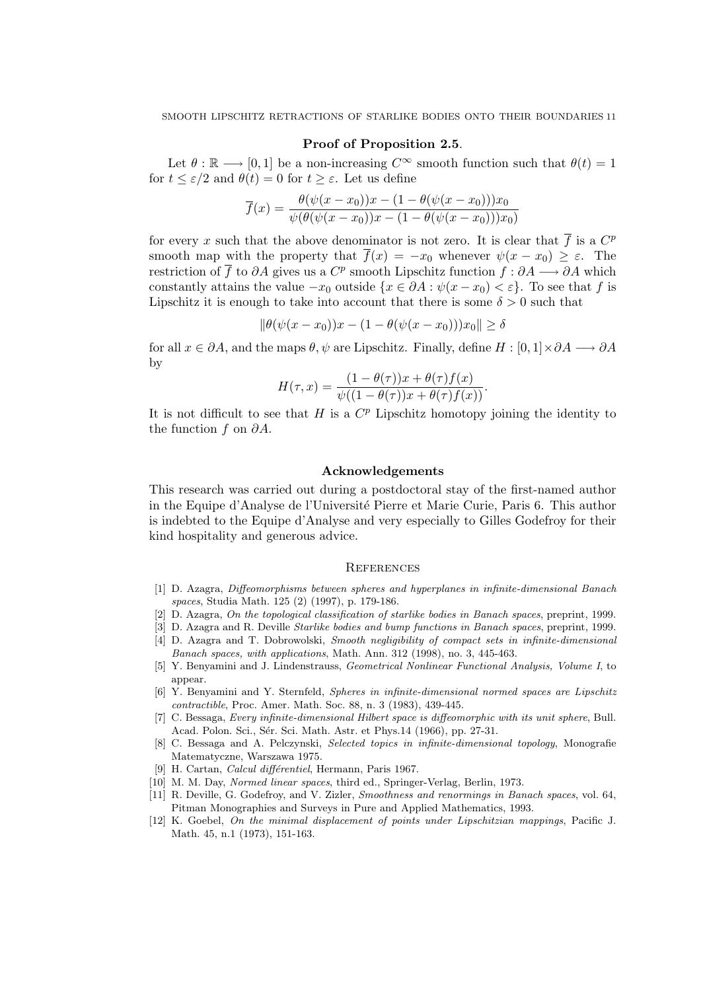## Proof of Proposition 2.5.

Let  $\theta : \mathbb{R} \longrightarrow [0, 1]$  be a non-increasing  $C^{\infty}$  smooth function such that  $\theta(t) = 1$ for  $t \leq \varepsilon/2$  and  $\theta(t) = 0$  for  $t \geq \varepsilon$ . Let us define

$$
\overline{f}(x) = \frac{\theta(\psi(x-x_0))x - (1 - \theta(\psi(x-x_0)))x_0}{\psi(\theta(\psi(x-x_0))x - (1 - \theta(\psi(x-x_0)))x_0)}
$$

for every x such that the above denominator is not zero. It is clear that  $\overline{f}$  is a  $C^p$ smooth map with the property that  $\overline{f}(x) = -x_0$  whenever  $\psi(x - x_0) \geq \varepsilon$ . The restriction of  $\overline{f}$  to  $\partial A$  gives us a  $C^p$  smooth Lipschitz function  $f : \partial A \longrightarrow \partial A$  which constantly attains the value  $-x_0$  outside  $\{x \in \partial A : \psi(x - x_0) < \varepsilon\}$ . To see that f is Lipschitz it is enough to take into account that there is some  $\delta > 0$  such that

$$
\|\theta(\psi(x-x_0))x - (1 - \theta(\psi(x-x_0)))x_0\| \ge \delta
$$

for all  $x \in \partial A$ , and the maps  $\theta, \psi$  are Lipschitz. Finally, define  $H : [0,1] \times \partial A \longrightarrow \partial A$ by

$$
H(\tau, x) = \frac{(1 - \theta(\tau))x + \theta(\tau)f(x)}{\psi((1 - \theta(\tau))x + \theta(\tau)f(x))}.
$$

It is not difficult to see that  $H$  is a  $C^p$  Lipschitz homotopy joining the identity to the function f on  $\partial A$ .

#### Acknowledgements

This research was carried out during a postdoctoral stay of the first-named author in the Equipe d'Analyse de l'Universit´e Pierre et Marie Curie, Paris 6. This author is indebted to the Equipe d'Analyse and very especially to Gilles Godefroy for their kind hospitality and generous advice.

#### **REFERENCES**

- [1] D. Azagra, Diffeomorphisms between spheres and hyperplanes in infinite-dimensional Banach spaces, Studia Math. 125 (2) (1997), p. 179-186.
- D. Azagra, On the topological classification of starlike bodies in Banach spaces, preprint, 1999.
- [3] D. Azagra and R. Deville Starlike bodies and bump functions in Banach spaces, preprint, 1999.
- [4] D. Azagra and T. Dobrowolski, Smooth negligibility of compact sets in infinite-dimensional Banach spaces, with applications, Math. Ann. 312 (1998), no. 3, 445-463.
- [5] Y. Benyamini and J. Lindenstrauss, Geometrical Nonlinear Functional Analysis, Volume I, to appear.
- [6] Y. Benyamini and Y. Sternfeld, Spheres in infinite-dimensional normed spaces are Lipschitz contractible, Proc. Amer. Math. Soc. 88, n. 3 (1983), 439-445.
- [7] C. Bessaga, Every infinite-dimensional Hilbert space is diffeomorphic with its unit sphere, Bull. Acad. Polon. Sci., Sér. Sci. Math. Astr. et Phys.14 (1966), pp. 27-31.
- [8] C. Bessaga and A. Pelczynski, Selected topics in infinite-dimensional topology, Monografie Matematyczne, Warszawa 1975.
- [9] H. Cartan, *Calcul différentiel*, Hermann, Paris 1967.
- [10] M. M. Day, Normed linear spaces, third ed., Springer-Verlag, Berlin, 1973.
- [11] R. Deville, G. Godefroy, and V. Zizler, Smoothness and renormings in Banach spaces, vol. 64, Pitman Monographies and Surveys in Pure and Applied Mathematics, 1993.
- [12] K. Goebel, On the minimal displacement of points under Lipschitzian mappings, Pacific J. Math. 45, n.1 (1973), 151-163.